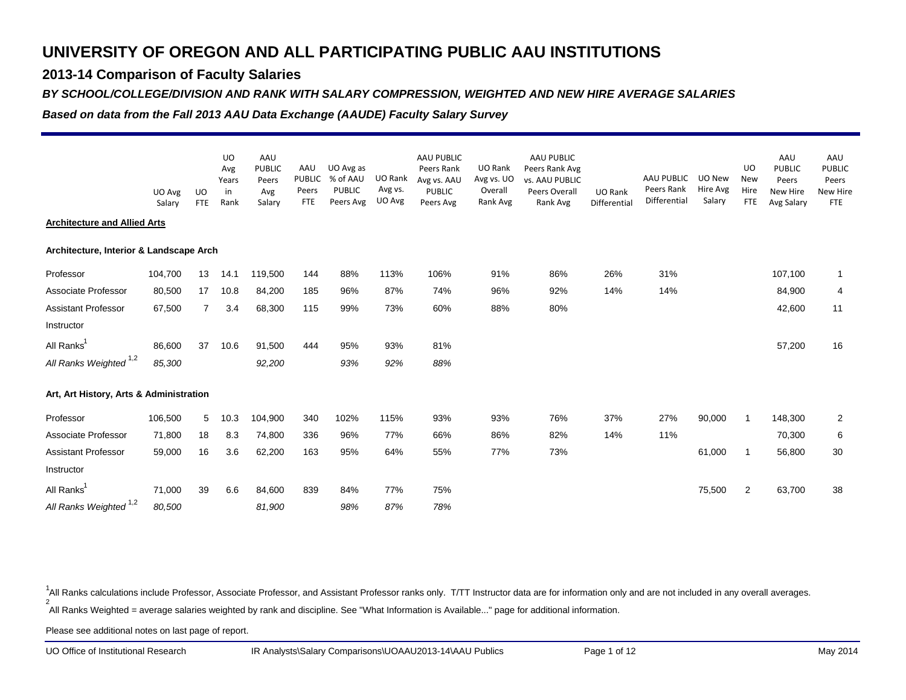### **2013-14 Comparison of Faculty Salaries**

#### *BY SCHOOL/COLLEGE/DIVISION AND RANK WITH SALARY COMPRESSION, WEIGHTED AND NEW HIRE AVERAGE SALARIES*

*Based on data from the Fall 2013 AAU Data Exchange (AAUDE) Faculty Salary Survey*

|                                         | UO Avg<br>Salary | UO<br><b>FTE</b> | <b>UO</b><br>Avg<br>Years<br>in<br>Rank | AAU<br><b>PUBLIC</b><br>Peers<br>Avg<br>Salary | AAU<br><b>PUBLIC</b><br>Peers<br><b>FTE</b> | UO Avg as<br>% of AAU<br><b>PUBLIC</b><br>Peers Avg | UO Rank<br>Avg vs.<br>UO Avg | AAU PUBLIC<br>Peers Rank<br>Avg vs. AAU<br><b>PUBLIC</b><br>Peers Avg | UO Rank<br>Avg vs. UO<br>Overall<br>Rank Avg | AAU PUBLIC<br>Peers Rank Avg<br><b>vs. AAU PUBLIC</b><br>Peers Overall<br>Rank Avg | UO Rank<br>Differential | AAU PUBLIC<br>Peers Rank<br>Differential | UO New<br>Hire Avg<br>Salary | UO<br><b>New</b><br>Hire<br><b>FTE</b> | AAU<br>PUBLIC<br>Peers<br>New Hire<br>Avg Salary | AAU<br><b>PUBLIC</b><br>Peers<br>New Hire<br><b>FTE</b> |
|-----------------------------------------|------------------|------------------|-----------------------------------------|------------------------------------------------|---------------------------------------------|-----------------------------------------------------|------------------------------|-----------------------------------------------------------------------|----------------------------------------------|------------------------------------------------------------------------------------|-------------------------|------------------------------------------|------------------------------|----------------------------------------|--------------------------------------------------|---------------------------------------------------------|
| <b>Architecture and Allied Arts</b>     |                  |                  |                                         |                                                |                                             |                                                     |                              |                                                                       |                                              |                                                                                    |                         |                                          |                              |                                        |                                                  |                                                         |
| Architecture, Interior & Landscape Arch |                  |                  |                                         |                                                |                                             |                                                     |                              |                                                                       |                                              |                                                                                    |                         |                                          |                              |                                        |                                                  |                                                         |
| Professor                               | 104,700          | 13               | 14.1                                    | 119,500                                        | 144                                         | 88%                                                 | 113%                         | 106%                                                                  | 91%                                          | 86%                                                                                | 26%                     | 31%                                      |                              |                                        | 107,100                                          | $\mathbf{1}$                                            |
| Associate Professor                     | 80,500           | 17               | 10.8                                    | 84,200                                         | 185                                         | 96%                                                 | 87%                          | 74%                                                                   | 96%                                          | 92%                                                                                | 14%                     | 14%                                      |                              |                                        | 84,900                                           | 4                                                       |
| <b>Assistant Professor</b>              | 67,500           | $\overline{7}$   | 3.4                                     | 68,300                                         | 115                                         | 99%                                                 | 73%                          | 60%                                                                   | 88%                                          | 80%                                                                                |                         |                                          |                              |                                        | 42,600                                           | 11                                                      |
| Instructor                              |                  |                  |                                         |                                                |                                             |                                                     |                              |                                                                       |                                              |                                                                                    |                         |                                          |                              |                                        |                                                  |                                                         |
| All Ranks <sup>1</sup>                  | 86,600           | 37               | 10.6                                    | 91,500                                         | 444                                         | 95%                                                 | 93%                          | 81%                                                                   |                                              |                                                                                    |                         |                                          |                              |                                        | 57,200                                           | 16                                                      |
| All Ranks Weighted <sup>1,2</sup>       | 85,300           |                  |                                         | 92,200                                         |                                             | 93%                                                 | 92%                          | 88%                                                                   |                                              |                                                                                    |                         |                                          |                              |                                        |                                                  |                                                         |
| Art, Art History, Arts & Administration |                  |                  |                                         |                                                |                                             |                                                     |                              |                                                                       |                                              |                                                                                    |                         |                                          |                              |                                        |                                                  |                                                         |
| Professor                               | 106,500          | 5                | 10.3                                    | 104,900                                        | 340                                         | 102%                                                | 115%                         | 93%                                                                   | 93%                                          | 76%                                                                                | 37%                     | 27%                                      | 90,000                       | 1                                      | 148,300                                          | 2                                                       |
| Associate Professor                     | 71,800           | 18               | 8.3                                     | 74,800                                         | 336                                         | 96%                                                 | 77%                          | 66%                                                                   | 86%                                          | 82%                                                                                | 14%                     | 11%                                      |                              |                                        | 70,300                                           | 6                                                       |
| Assistant Professor                     | 59,000           | 16               | 3.6                                     | 62,200                                         | 163                                         | 95%                                                 | 64%                          | 55%                                                                   | 77%                                          | 73%                                                                                |                         |                                          | 61,000                       | 1                                      | 56,800                                           | 30                                                      |
| Instructor                              |                  |                  |                                         |                                                |                                             |                                                     |                              |                                                                       |                                              |                                                                                    |                         |                                          |                              |                                        |                                                  |                                                         |
| All Ranks <sup>1</sup>                  | 71,000           | 39               | 6.6                                     | 84,600                                         | 839                                         | 84%                                                 | 77%                          | 75%                                                                   |                                              |                                                                                    |                         |                                          | 75,500                       | 2                                      | 63,700                                           | 38                                                      |
| All Ranks Weighted <sup>1,2</sup>       | 80,500           |                  |                                         | 81,900                                         |                                             | 98%                                                 | 87%                          | 78%                                                                   |                                              |                                                                                    |                         |                                          |                              |                                        |                                                  |                                                         |

2 All Ranks Weighted = average salaries weighted by rank and discipline. See "What Information is Available..." page for additional information. <sup>1</sup>All Ranks calculations include Professor, Associate Professor, and Assistant Professor ranks only. T/TT Instructor data are for information only and are not included in any overall averages.

Please see additional notes on last page of report.

UO Office of Institutional Research

IR Analysts\Salary Comparisons\UOAAU2013-14\AAU Publics Page 1 of 12 Page 1 of 12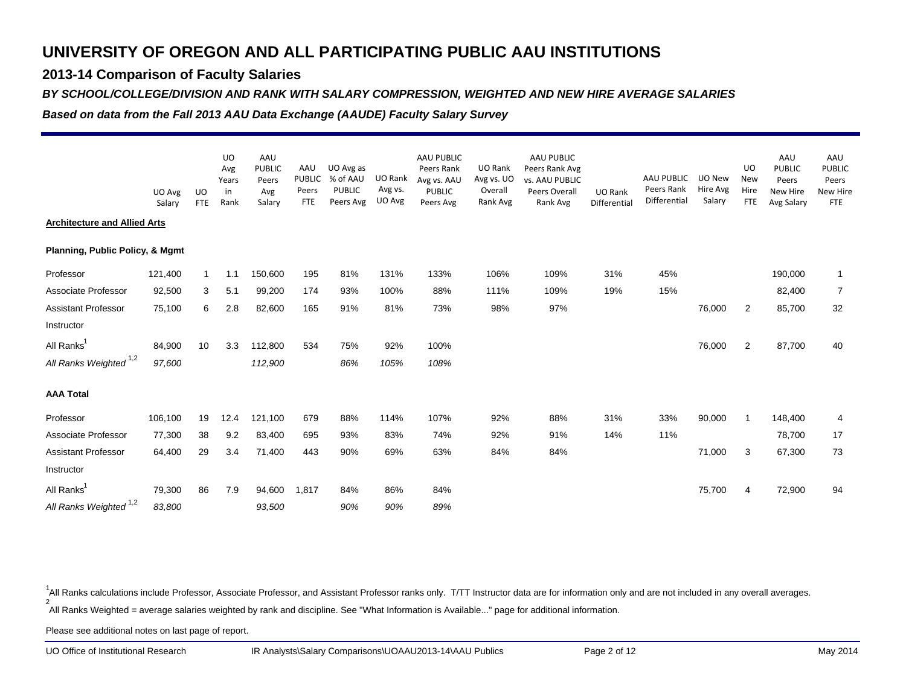### **2013-14 Comparison of Faculty Salaries**

#### *BY SCHOOL/COLLEGE/DIVISION AND RANK WITH SALARY COMPRESSION, WEIGHTED AND NEW HIRE AVERAGE SALARIES*

*Based on data from the Fall 2013 AAU Data Exchange (AAUDE) Faculty Salary Survey*

|                                            | UO Avg<br>Salary | UO<br><b>FTE</b> | <b>UO</b><br>Avg<br>Years<br>in<br>Rank | AAU<br><b>PUBLIC</b><br>Peers<br>Avg<br>Salary | AAU<br>PUBLIC<br>Peers<br><b>FTE</b> | UO Avg as<br>% of AAU<br><b>PUBLIC</b><br>Peers Avg | UO Rank<br>Avg vs.<br>UO Avg | AAU PUBLIC<br>Peers Rank<br>Avg vs. AAU<br>PUBLIC<br>Peers Avg | UO Rank<br>Avg vs. UO<br>Overall<br>Rank Avg | <b>AAU PUBLIC</b><br>Peers Rank Avg<br><b>vs. AAU PUBLIC</b><br>Peers Overall<br>Rank Avg | <b>UO Rank</b><br>Differential | <b>AAU PUBLIC</b><br>Peers Rank<br>Differential | UO New<br>Hire Avg<br>Salary | UO<br><b>New</b><br>Hire<br><b>FTE</b> | AAU<br>PUBLIC<br>Peers<br>New Hire<br>Avg Salary | AAU<br><b>PUBLIC</b><br>Peers<br>New Hire<br><b>FTE</b> |
|--------------------------------------------|------------------|------------------|-----------------------------------------|------------------------------------------------|--------------------------------------|-----------------------------------------------------|------------------------------|----------------------------------------------------------------|----------------------------------------------|-------------------------------------------------------------------------------------------|--------------------------------|-------------------------------------------------|------------------------------|----------------------------------------|--------------------------------------------------|---------------------------------------------------------|
| <b>Architecture and Allied Arts</b>        |                  |                  |                                         |                                                |                                      |                                                     |                              |                                                                |                                              |                                                                                           |                                |                                                 |                              |                                        |                                                  |                                                         |
| <b>Planning, Public Policy, &amp; Mgmt</b> |                  |                  |                                         |                                                |                                      |                                                     |                              |                                                                |                                              |                                                                                           |                                |                                                 |                              |                                        |                                                  |                                                         |
| Professor                                  | 121,400          | 1                | 1.1                                     | 150,600                                        | 195                                  | 81%                                                 | 131%                         | 133%                                                           | 106%                                         | 109%                                                                                      | 31%                            | 45%                                             |                              |                                        | 190,000                                          | $\mathbf{1}$                                            |
| Associate Professor                        | 92,500           | 3                | 5.1                                     | 99,200                                         | 174                                  | 93%                                                 | 100%                         | 88%                                                            | 111%                                         | 109%                                                                                      | 19%                            | 15%                                             |                              |                                        | 82,400                                           | $\overline{7}$                                          |
| Assistant Professor                        | 75,100           | 6                | 2.8                                     | 82,600                                         | 165                                  | 91%                                                 | 81%                          | 73%                                                            | 98%                                          | 97%                                                                                       |                                |                                                 | 76,000                       | 2                                      | 85,700                                           | 32                                                      |
| Instructor                                 |                  |                  |                                         |                                                |                                      |                                                     |                              |                                                                |                                              |                                                                                           |                                |                                                 |                              |                                        |                                                  |                                                         |
| All Ranks                                  | 84,900           | 10               | 3.3                                     | 112,800                                        | 534                                  | 75%                                                 | 92%                          | 100%                                                           |                                              |                                                                                           |                                |                                                 | 76,000                       | $\overline{2}$                         | 87,700                                           | 40                                                      |
| All Ranks Weighted <sup>1,2</sup>          | 97,600           |                  |                                         | 112,900                                        |                                      | 86%                                                 | 105%                         | 108%                                                           |                                              |                                                                                           |                                |                                                 |                              |                                        |                                                  |                                                         |
| <b>AAA Total</b>                           |                  |                  |                                         |                                                |                                      |                                                     |                              |                                                                |                                              |                                                                                           |                                |                                                 |                              |                                        |                                                  |                                                         |
| Professor                                  | 106,100          | 19               | 12.4                                    | 121,100                                        | 679                                  | 88%                                                 | 114%                         | 107%                                                           | 92%                                          | 88%                                                                                       | 31%                            | 33%                                             | 90,000                       | 1                                      | 148,400                                          | 4                                                       |
| Associate Professor                        | 77,300           | 38               | 9.2                                     | 83,400                                         | 695                                  | 93%                                                 | 83%                          | 74%                                                            | 92%                                          | 91%                                                                                       | 14%                            | 11%                                             |                              |                                        | 78,700                                           | 17                                                      |
| <b>Assistant Professor</b>                 | 64,400           | 29               | 3.4                                     | 71,400                                         | 443                                  | 90%                                                 | 69%                          | 63%                                                            | 84%                                          | 84%                                                                                       |                                |                                                 | 71,000                       | 3                                      | 67,300                                           | 73                                                      |
| Instructor                                 |                  |                  |                                         |                                                |                                      |                                                     |                              |                                                                |                                              |                                                                                           |                                |                                                 |                              |                                        |                                                  |                                                         |
| All Ranks <sup>1</sup>                     | 79,300           | 86               | 7.9                                     | 94,600                                         | 1,817                                | 84%                                                 | 86%                          | 84%                                                            |                                              |                                                                                           |                                |                                                 | 75,700                       | 4                                      | 72,900                                           | 94                                                      |
| All Ranks Weighted <sup>1,2</sup>          | 83,800           |                  |                                         | 93,500                                         |                                      | 90%                                                 | 90%                          | 89%                                                            |                                              |                                                                                           |                                |                                                 |                              |                                        |                                                  |                                                         |

2 All Ranks Weighted = average salaries weighted by rank and discipline. See "What Information is Available..." page for additional information. <sup>1</sup>All Ranks calculations include Professor, Associate Professor, and Assistant Professor ranks only. T/TT Instructor data are for information only and are not included in any overall averages.

Please see additional notes on last page of report.

UO Office of Institutional Research

IR Analysts\Salary Comparisons\UOAAU2013-14\AAU Publics Page 2 of 12 May 2014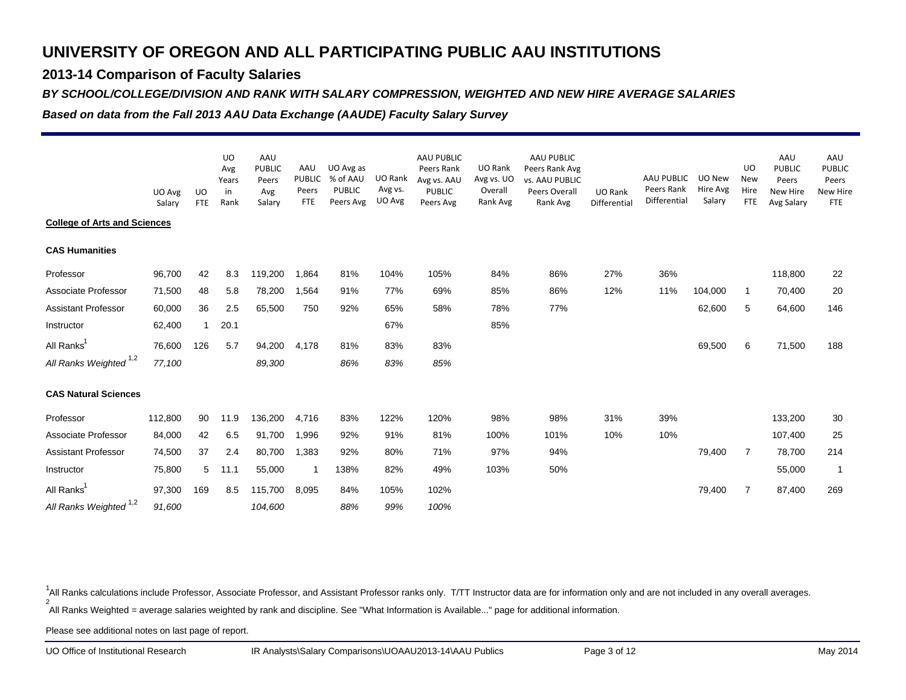### **2013-14 Comparison of Faculty Salaries**

#### *BY SCHOOL/COLLEGE/DIVISION AND RANK WITH SALARY COMPRESSION, WEIGHTED AND NEW HIRE AVERAGE SALARIES*

*Based on data from the Fall 2013 AAU Data Exchange (AAUDE) Faculty Salary Survey*

|                                     |                  |                  | <b>UO</b><br>Avg    | AAU<br><b>PUBLIC</b>   | AAU                           | UO Avg as                              |                              | AAU PUBLIC<br>Peers Rank                  | UO Rank                           | AAU PUBLIC<br>Peers Rank Avg                |                                |                                          |                              | <b>UO</b>                        | AAU<br><b>PUBLIC</b>            | AAU<br><b>PUBLIC</b>                   |
|-------------------------------------|------------------|------------------|---------------------|------------------------|-------------------------------|----------------------------------------|------------------------------|-------------------------------------------|-----------------------------------|---------------------------------------------|--------------------------------|------------------------------------------|------------------------------|----------------------------------|---------------------------------|----------------------------------------|
|                                     | UO Avg<br>Salary | UO<br><b>FTE</b> | Years<br>in<br>Rank | Peers<br>Avg<br>Salary | <b>PUBLIC</b><br>Peers<br>FTE | % of AAU<br><b>PUBLIC</b><br>Peers Avg | UO Rank<br>Avg vs.<br>UO Avg | Avg vs. AAU<br><b>PUBLIC</b><br>Peers Avg | Avg vs. UO<br>Overall<br>Rank Avg | vs. AAU PUBLIC<br>Peers Overall<br>Rank Avg | <b>UO Rank</b><br>Differential | AAU PUBLIC<br>Peers Rank<br>Differential | UO New<br>Hire Avg<br>Salary | <b>New</b><br>Hire<br><b>FTE</b> | Peers<br>New Hire<br>Avg Salary | Peers<br><b>New Hire</b><br><b>FTE</b> |
| <b>College of Arts and Sciences</b> |                  |                  |                     |                        |                               |                                        |                              |                                           |                                   |                                             |                                |                                          |                              |                                  |                                 |                                        |
| <b>CAS Humanities</b>               |                  |                  |                     |                        |                               |                                        |                              |                                           |                                   |                                             |                                |                                          |                              |                                  |                                 |                                        |
| Professor                           | 96,700           | 42               | 8.3                 | 119,200                | 1,864                         | 81%                                    | 104%                         | 105%                                      | 84%                               | 86%                                         | 27%                            | 36%                                      |                              |                                  | 118,800                         | 22                                     |
| Associate Professor                 | 71,500           | 48               | 5.8                 | 78,200                 | 1,564                         | 91%                                    | 77%                          | 69%                                       | 85%                               | 86%                                         | 12%                            | 11%                                      | 104,000                      | 1                                | 70,400                          | 20                                     |
| <b>Assistant Professor</b>          | 60,000           | 36               | 2.5                 | 65,500                 | 750                           | 92%                                    | 65%                          | 58%                                       | 78%                               | 77%                                         |                                |                                          | 62,600                       | 5                                | 64,600                          | 146                                    |
| Instructor                          | 62,400           | 1                | 20.1                |                        |                               |                                        | 67%                          |                                           | 85%                               |                                             |                                |                                          |                              |                                  |                                 |                                        |
| All Ranks <sup>1</sup>              | 76,600           | 126              | 5.7                 | 94,200                 | 4,178                         | 81%                                    | 83%                          | 83%                                       |                                   |                                             |                                |                                          | 69,500                       | 6                                | 71,500                          | 188                                    |
| All Ranks Weighted <sup>1,2</sup>   | 77,100           |                  |                     | 89,300                 |                               | 86%                                    | 83%                          | 85%                                       |                                   |                                             |                                |                                          |                              |                                  |                                 |                                        |
| <b>CAS Natural Sciences</b>         |                  |                  |                     |                        |                               |                                        |                              |                                           |                                   |                                             |                                |                                          |                              |                                  |                                 |                                        |
| Professor                           | 112,800          | 90               | 11.9                | 136,200                | 4,716                         | 83%                                    | 122%                         | 120%                                      | 98%                               | 98%                                         | 31%                            | 39%                                      |                              |                                  | 133,200                         | 30                                     |
| Associate Professor                 | 84,000           | 42               | 6.5                 | 91,700                 | 1,996                         | 92%                                    | 91%                          | 81%                                       | 100%                              | 101%                                        | 10%                            | 10%                                      |                              |                                  | 107,400                         | 25                                     |
| <b>Assistant Professor</b>          | 74,500           | 37               | 2.4                 | 80,700                 | 1,383                         | 92%                                    | 80%                          | 71%                                       | 97%                               | 94%                                         |                                |                                          | 79,400                       | 7                                | 78,700                          | 214                                    |
| Instructor                          | 75,800           | 5                | 11.1                | 55,000                 | $\mathbf{1}$                  | 138%                                   | 82%                          | 49%                                       | 103%                              | 50%                                         |                                |                                          |                              |                                  | 55,000                          | $\mathbf{1}$                           |
| All Ranks <sup>1</sup>              | 97,300           | 169              | 8.5                 | 115,700                | 8,095                         | 84%                                    | 105%                         | 102%                                      |                                   |                                             |                                |                                          | 79,400                       | 7                                | 87,400                          | 269                                    |
| All Ranks Weighted <sup>1,2</sup>   | 91,600           |                  |                     | 104,600                |                               | 88%                                    | 99%                          | 100%                                      |                                   |                                             |                                |                                          |                              |                                  |                                 |                                        |

2 All Ranks Weighted = average salaries weighted by rank and discipline. See "What Information is Available..." page for additional information. <sup>1</sup>All Ranks calculations include Professor, Associate Professor, and Assistant Professor ranks only. T/TT Instructor data are for information only and are not included in any overall averages.

Please see additional notes on last page of report.

UO Office of Institutional Research

IR Analysts\Salary Comparisons\UOAAU2013-14\AAU Publics Page 3 of 12 May 2014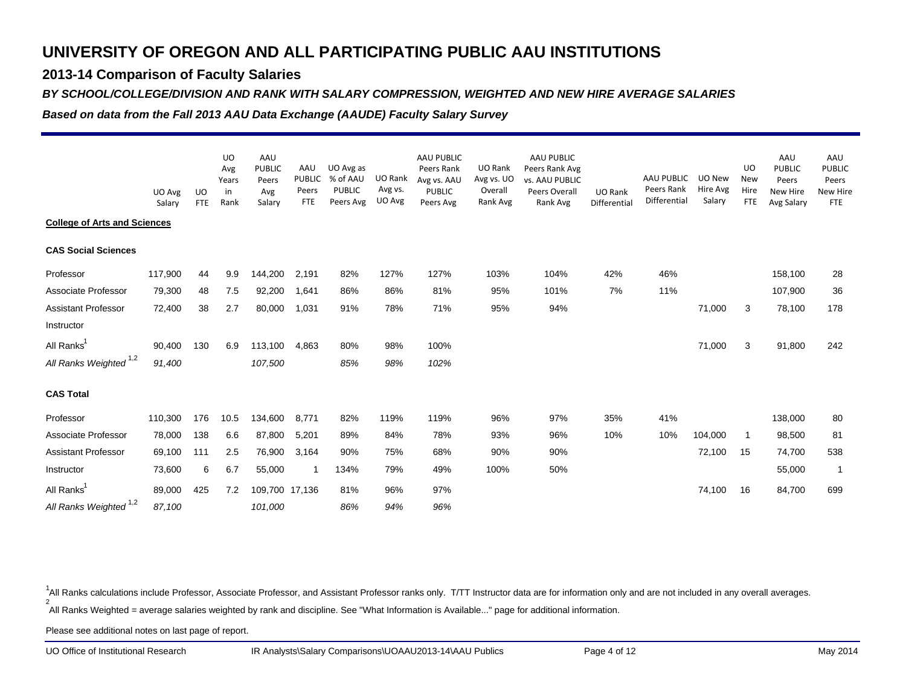### **2013-14 Comparison of Faculty Salaries**

#### *BY SCHOOL/COLLEGE/DIVISION AND RANK WITH SALARY COMPRESSION, WEIGHTED AND NEW HIRE AVERAGE SALARIES*

*Based on data from the Fall 2013 AAU Data Exchange (AAUDE) Faculty Salary Survey*

|                                     |                  |                         | <b>UO</b><br>Avg<br>Years | AAU<br><b>PUBLIC</b><br>Peers | AAU<br><b>PUBLIC</b> | UO Avg as<br>% of AAU      | UO Rank           | AAU PUBLIC<br>Peers Rank<br>Avg vs. AAU | UO Rank<br>Avg vs. UO | AAU PUBLIC<br>Peers Rank Avg<br>vs. AAU PUBLIC |                                | AAU PUBLIC                 | UO New             | <b>UO</b><br><b>New</b> | AAU<br><b>PUBLIC</b><br>Peers | AAU<br><b>PUBLIC</b><br>Peers |
|-------------------------------------|------------------|-------------------------|---------------------------|-------------------------------|----------------------|----------------------------|-------------------|-----------------------------------------|-----------------------|------------------------------------------------|--------------------------------|----------------------------|--------------------|-------------------------|-------------------------------|-------------------------------|
|                                     | UO Avg<br>Salary | <b>UO</b><br><b>FTE</b> | in<br>Rank                | Avg<br>Salary                 | Peers<br><b>FTE</b>  | <b>PUBLIC</b><br>Peers Avg | Avg vs.<br>UO Avg | <b>PUBLIC</b><br>Peers Avg              | Overall<br>Rank Avg   | Peers Overall<br>Rank Avg                      | <b>UO Rank</b><br>Differential | Peers Rank<br>Differential | Hire Avg<br>Salary | Hire<br><b>FTE</b>      | New Hire<br>Avg Salary        | <b>New Hire</b><br><b>FTE</b> |
| <b>College of Arts and Sciences</b> |                  |                         |                           |                               |                      |                            |                   |                                         |                       |                                                |                                |                            |                    |                         |                               |                               |
| <b>CAS Social Sciences</b>          |                  |                         |                           |                               |                      |                            |                   |                                         |                       |                                                |                                |                            |                    |                         |                               |                               |
| Professor                           | 117,900          | 44                      | 9.9                       | 144,200                       | 2,191                | 82%                        | 127%              | 127%                                    | 103%                  | 104%                                           | 42%                            | 46%                        |                    |                         | 158,100                       | 28                            |
| Associate Professor                 | 79,300           | 48                      | 7.5                       | 92,200                        | 1,641                | 86%                        | 86%               | 81%                                     | 95%                   | 101%                                           | 7%                             | 11%                        |                    |                         | 107,900                       | 36                            |
| <b>Assistant Professor</b>          | 72,400           | 38                      | 2.7                       | 80,000                        | 1,031                | 91%                        | 78%               | 71%                                     | 95%                   | 94%                                            |                                |                            | 71,000             | 3                       | 78,100                        | 178                           |
| Instructor                          |                  |                         |                           |                               |                      |                            |                   |                                         |                       |                                                |                                |                            |                    |                         |                               |                               |
| All Ranks <sup>1</sup>              | 90,400           | 130                     | 6.9                       | 113,100                       | 4,863                | 80%                        | 98%               | 100%                                    |                       |                                                |                                |                            | 71,000             | 3                       | 91,800                        | 242                           |
| All Ranks Weighted <sup>1,2</sup>   | 91,400           |                         |                           | 107,500                       |                      | 85%                        | 98%               | 102%                                    |                       |                                                |                                |                            |                    |                         |                               |                               |
| <b>CAS Total</b>                    |                  |                         |                           |                               |                      |                            |                   |                                         |                       |                                                |                                |                            |                    |                         |                               |                               |
| Professor                           | 110,300          | 176                     | 10.5                      | 134,600                       | 8,771                | 82%                        | 119%              | 119%                                    | 96%                   | 97%                                            | 35%                            | 41%                        |                    |                         | 138,000                       | 80                            |
| Associate Professor                 | 78,000           | 138                     | 6.6                       | 87,800                        | 5,201                | 89%                        | 84%               | 78%                                     | 93%                   | 96%                                            | 10%                            | 10%                        | 104,000            | -1                      | 98,500                        | 81                            |
| <b>Assistant Professor</b>          | 69,100           | 111                     | 2.5                       | 76,900                        | 3,164                | 90%                        | 75%               | 68%                                     | 90%                   | 90%                                            |                                |                            | 72,100             | 15                      | 74,700                        | 538                           |
| Instructor                          | 73,600           | 6                       | 6.7                       | 55,000                        | -1                   | 134%                       | 79%               | 49%                                     | 100%                  | 50%                                            |                                |                            |                    |                         | 55,000                        | -1                            |
| All Ranks <sup>1</sup>              | 89,000           | 425                     | 7.2                       | 109,700 17,136                |                      | 81%                        | 96%               | 97%                                     |                       |                                                |                                |                            | 74,100             | 16                      | 84,700                        | 699                           |
| All Ranks Weighted <sup>1,2</sup>   | 87,100           |                         |                           | 101,000                       |                      | 86%                        | 94%               | 96%                                     |                       |                                                |                                |                            |                    |                         |                               |                               |

2 All Ranks Weighted = average salaries weighted by rank and discipline. See "What Information is Available..." page for additional information. <sup>1</sup>All Ranks calculations include Professor, Associate Professor, and Assistant Professor ranks only. T/TT Instructor data are for information only and are not included in any overall averages.

Please see additional notes on last page of report.

UO Office of Institutional Research

IR Analysts\Salary Comparisons\UOAAU2013-14\AAU Publics Page 4 of 12 Page 4 of 12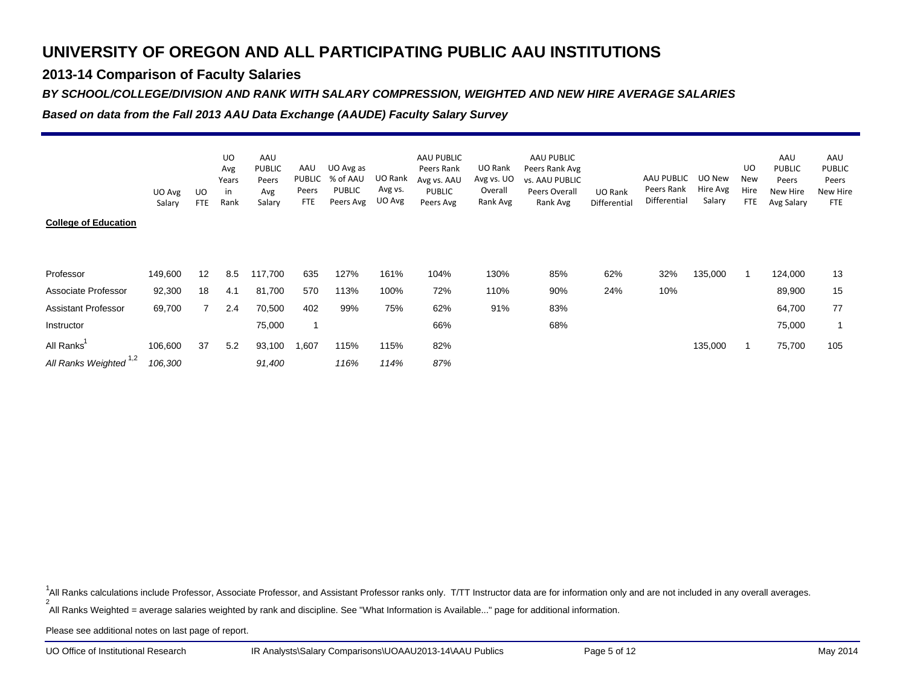### **2013-14 Comparison of Faculty Salaries**

#### *BY SCHOOL/COLLEGE/DIVISION AND RANK WITH SALARY COMPRESSION, WEIGHTED AND NEW HIRE AVERAGE SALARIES*

*Based on data from the Fall 2013 AAU Data Exchange (AAUDE) Faculty Salary Survey*

| <b>College of Education</b>       | UO Avg<br>Salary | UO<br><b>FTE</b> | <b>UO</b><br>Avg<br>Years<br>in<br>Rank | AAU<br><b>PUBLIC</b><br>Peers<br>Avg<br>Salary | AAU<br>PUBLIC<br>Peers<br><b>FTE</b> | UO Avg as<br>% of AAU<br><b>PUBLIC</b><br>Peers Avg | UO Rank<br>Avg vs.<br>UO Avg | AAU PUBLIC<br>Peers Rank<br>Avg vs. AAU<br><b>PUBLIC</b><br>Peers Avg | UO Rank<br>Avg vs. UO<br>Overall<br>Rank Avg | AAU PUBLIC<br>Peers Rank Avg<br>vs. AAU PUBLIC<br>Peers Overall<br>Rank Avg | UO Rank<br>Differential | AAU PUBLIC<br>Peers Rank<br>Differential | UO New<br>Hire Avg<br>Salary | UO<br>New<br>Hire<br><b>FTE</b> | AAU<br><b>PUBLIC</b><br>Peers<br>New Hire<br>Avg Salary | AAU<br><b>PUBLIC</b><br>Peers<br><b>New Hire</b><br><b>FTE</b> |
|-----------------------------------|------------------|------------------|-----------------------------------------|------------------------------------------------|--------------------------------------|-----------------------------------------------------|------------------------------|-----------------------------------------------------------------------|----------------------------------------------|-----------------------------------------------------------------------------|-------------------------|------------------------------------------|------------------------------|---------------------------------|---------------------------------------------------------|----------------------------------------------------------------|
| Professor                         | 149,600          | 12               | 8.5                                     | 117,700                                        | 635                                  | 127%                                                | 161%                         | 104%                                                                  | 130%                                         | 85%                                                                         | 62%                     | 32%                                      | 135,000                      |                                 | 124,000                                                 | 13                                                             |
| Associate Professor               | 92,300           | 18               | 4.1                                     | 81,700                                         | 570                                  | 113%                                                | 100%                         | 72%                                                                   | 110%                                         | 90%                                                                         | 24%                     | 10%                                      |                              |                                 | 89,900                                                  | 15                                                             |
| <b>Assistant Professor</b>        | 69,700           | 7                | 2.4                                     | 70,500                                         | 402                                  | 99%                                                 | 75%                          | 62%                                                                   | 91%                                          | 83%                                                                         |                         |                                          |                              |                                 | 64,700                                                  | 77                                                             |
| Instructor                        |                  |                  |                                         | 75,000                                         |                                      |                                                     |                              | 66%                                                                   |                                              | 68%                                                                         |                         |                                          |                              |                                 | 75,000                                                  |                                                                |
| All Ranks                         | 106,600          | 37               | 5.2                                     | 93,100                                         | 1,607                                | 115%                                                | 115%                         | 82%                                                                   |                                              |                                                                             |                         |                                          | 135,000                      |                                 | 75,700                                                  | 105                                                            |
| All Ranks Weighted <sup>1,2</sup> | 106,300          |                  |                                         | 91,400                                         |                                      | 116%                                                | 114%                         | 87%                                                                   |                                              |                                                                             |                         |                                          |                              |                                 |                                                         |                                                                |

2<sup>1</sup>All Ranks calculations include Professor, Associate Professor, and Assistant Professor ranks only. T/TT Instructor data are for information only and are not included in any overall averages.

All Ranks Weighted = average salaries weighted by rank and discipline. See "What Information is Available..." page for additional information.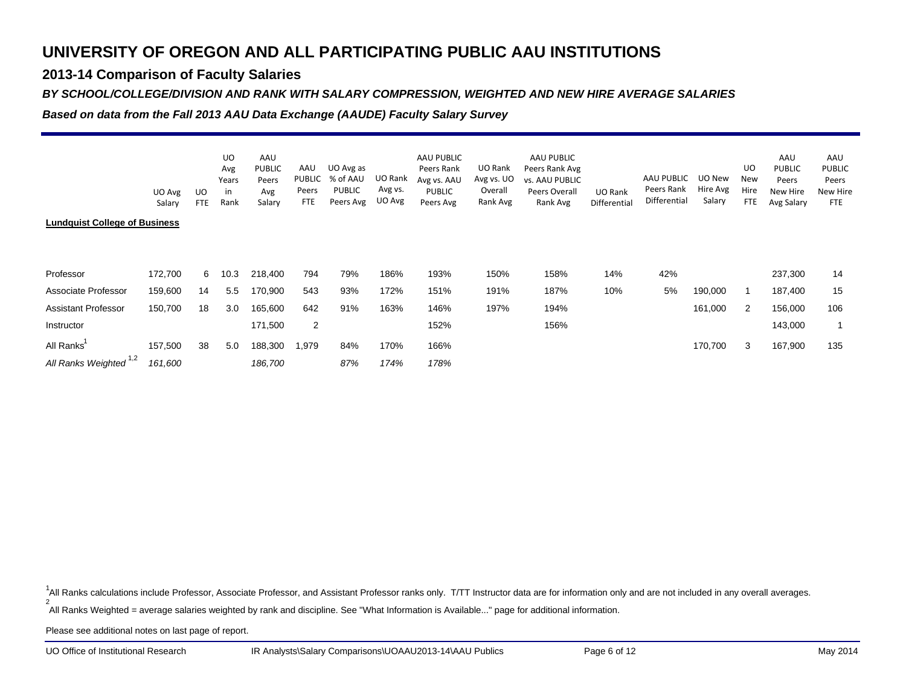### **2013-14 Comparison of Faculty Salaries**

#### *BY SCHOOL/COLLEGE/DIVISION AND RANK WITH SALARY COMPRESSION, WEIGHTED AND NEW HIRE AVERAGE SALARIES*

*Based on data from the Fall 2013 AAU Data Exchange (AAUDE) Faculty Salary Survey*

|                                      | UO Avg<br>Salary | UO<br><b>FTE</b> | UO<br>Avg<br>Years<br>in<br>Rank | AAU<br><b>PUBLIC</b><br>Peers<br>Avg<br>Salary | AAU<br>PUBLIC<br>Peers<br><b>FTE</b> | UO Avg as<br>% of AAU<br><b>PUBLIC</b><br>Peers Avg | UO Rank<br>Avg vs.<br>UO Avg | AAU PUBLIC<br>Peers Rank<br>Avg vs. AAU<br><b>PUBLIC</b><br>Peers Avg | UO Rank<br>Avg vs. UO<br>Overall<br>Rank Avg | AAU PUBLIC<br>Peers Rank Avg<br><b>vs. AAU PUBLIC</b><br>Peers Overall<br>Rank Avg | <b>UO Rank</b><br>Differential | AAU PUBLIC<br>Peers Rank<br>Differential | UO New<br>Hire Avg<br>Salary | UO<br>New<br>Hire<br><b>FTE</b> | AAU<br><b>PUBLIC</b><br>Peers<br>New Hire<br>Avg Salary | AAU<br><b>PUBLIC</b><br>Peers<br>New Hire<br><b>FTE</b> |
|--------------------------------------|------------------|------------------|----------------------------------|------------------------------------------------|--------------------------------------|-----------------------------------------------------|------------------------------|-----------------------------------------------------------------------|----------------------------------------------|------------------------------------------------------------------------------------|--------------------------------|------------------------------------------|------------------------------|---------------------------------|---------------------------------------------------------|---------------------------------------------------------|
| <b>Lundquist College of Business</b> |                  |                  |                                  |                                                |                                      |                                                     |                              |                                                                       |                                              |                                                                                    |                                |                                          |                              |                                 |                                                         |                                                         |
| Professor                            | 172,700          | 6                | 10.3                             | 218,400                                        | 794                                  | 79%                                                 | 186%                         | 193%                                                                  | 150%                                         | 158%                                                                               | 14%                            | 42%                                      |                              |                                 | 237,300                                                 | 14                                                      |
| Associate Professor                  | 159,600          | 14               | 5.5                              | 170,900                                        | 543                                  | 93%                                                 | 172%                         | 151%                                                                  | 191%                                         | 187%                                                                               | 10%                            | 5%                                       | 190,000                      |                                 | 187,400                                                 | 15                                                      |
| <b>Assistant Professor</b>           | 150,700          | 18               | 3.0                              | 165,600                                        | 642                                  | 91%                                                 | 163%                         | 146%                                                                  | 197%                                         | 194%                                                                               |                                |                                          | 161,000                      | 2                               | 156,000                                                 | 106                                                     |
| Instructor                           |                  |                  |                                  | 171,500                                        | 2                                    |                                                     |                              | 152%                                                                  |                                              | 156%                                                                               |                                |                                          |                              |                                 | 143,000                                                 |                                                         |
| All Ranks                            | 157,500          | 38               | 5.0                              | 188,300                                        | 1,979                                | 84%                                                 | 170%                         | 166%                                                                  |                                              |                                                                                    |                                |                                          | 170,700                      | 3                               | 167,900                                                 | 135                                                     |
| All Ranks Weighted <sup>1,2</sup>    | 161,600          |                  |                                  | 186,700                                        |                                      | 87%                                                 | 174%                         | 178%                                                                  |                                              |                                                                                    |                                |                                          |                              |                                 |                                                         |                                                         |

2<sup>1</sup>All Ranks calculations include Professor, Associate Professor, and Assistant Professor ranks only. T/TT Instructor data are for information only and are not included in any overall averages.

All Ranks Weighted = average salaries weighted by rank and discipline. See "What Information is Available..." page for additional information.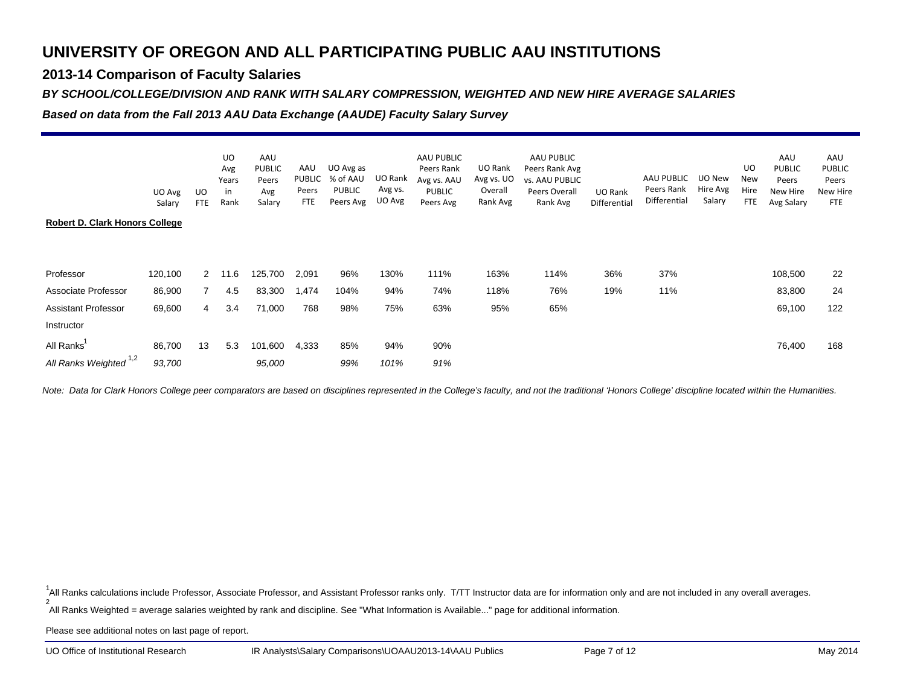### **2013-14 Comparison of Faculty Salaries**

#### *BY SCHOOL/COLLEGE/DIVISION AND RANK WITH SALARY COMPRESSION, WEIGHTED AND NEW HIRE AVERAGE SALARIES*

*Based on data from the Fall 2013 AAU Data Exchange (AAUDE) Faculty Salary Survey*

|                                       | UO Avg  | UO          | UO<br>Avg<br>Years<br>in | AAU<br><b>PUBLIC</b><br>Peers<br>Avg | AAU<br>PUBLIC<br>Peers | UO Avg as<br>% of AAU<br><b>PUBLIC</b> | UO Rank<br>Avg vs. | AAU PUBLIC<br>Peers Rank<br>Avg vs. AAU<br><b>PUBLIC</b> | UO Rank<br>Avg vs. UO<br>Overall | AAU PUBLIC<br>Peers Rank Avg<br>vs. AAU PUBLIC<br>Peers Overall | UO Rank      | AAU PUBLIC<br>Peers Rank | UO New<br>Hire Avg | UO<br>New<br>Hire | AAU<br><b>PUBLIC</b><br>Peers<br>New Hire | AAU<br><b>PUBLIC</b><br>Peers<br><b>New Hire</b> |
|---------------------------------------|---------|-------------|--------------------------|--------------------------------------|------------------------|----------------------------------------|--------------------|----------------------------------------------------------|----------------------------------|-----------------------------------------------------------------|--------------|--------------------------|--------------------|-------------------|-------------------------------------------|--------------------------------------------------|
|                                       | Salary  | <b>FTE</b>  | Rank                     | Salary                               | <b>FTE</b>             | Peers Avg                              | UO Avg             | Peers Avg                                                | Rank Avg                         | Rank Avg                                                        | Differential | Differential             | Salary             | <b>FTE</b>        | Avg Salary                                | <b>FTE</b>                                       |
| <b>Robert D. Clark Honors College</b> |         |             |                          |                                      |                        |                                        |                    |                                                          |                                  |                                                                 |              |                          |                    |                   |                                           |                                                  |
|                                       |         |             |                          |                                      |                        |                                        |                    |                                                          |                                  |                                                                 |              |                          |                    |                   |                                           |                                                  |
| Professor                             | 120,100 | $2^{\circ}$ | 11.6                     | 125,700                              | 2,091                  | 96%                                    | 130%               | 111%                                                     | 163%                             | 114%                                                            | 36%          | 37%                      |                    |                   | 108,500                                   | 22                                               |
| Associate Professor                   | 86,900  |             | 4.5                      | 83,300                               | 1,474                  | 104%                                   | 94%                | 74%                                                      | 118%                             | 76%                                                             | 19%          | 11%                      |                    |                   | 83,800                                    | 24                                               |
| <b>Assistant Professor</b>            | 69,600  | 4           | 3.4                      | 71,000                               | 768                    | 98%                                    | 75%                | 63%                                                      | 95%                              | 65%                                                             |              |                          |                    |                   | 69,100                                    | 122                                              |
| Instructor                            |         |             |                          |                                      |                        |                                        |                    |                                                          |                                  |                                                                 |              |                          |                    |                   |                                           |                                                  |
| All Ranks'                            | 86,700  | 13          | 5.3                      | 101,600                              | 4,333                  | 85%                                    | 94%                | 90%                                                      |                                  |                                                                 |              |                          |                    |                   | 76,400                                    | 168                                              |
| All Ranks Weighted 1,2                | 93,700  |             |                          | 95,000                               |                        | 99%                                    | 101%               | 91%                                                      |                                  |                                                                 |              |                          |                    |                   |                                           |                                                  |

*Note: Data for Clark Honors College peer comparators are based on disciplines represented in the College's faculty, and not the traditional 'Honors College' discipline located within the Humanities.*

2 All Ranks Weighted = average salaries weighted by rank and discipline. See "What Information is Available..." page for additional information. <sup>1</sup>All Ranks calculations include Professor, Associate Professor, and Assistant Professor ranks only. T/TT Instructor data are for information only and are not included in any overall averages.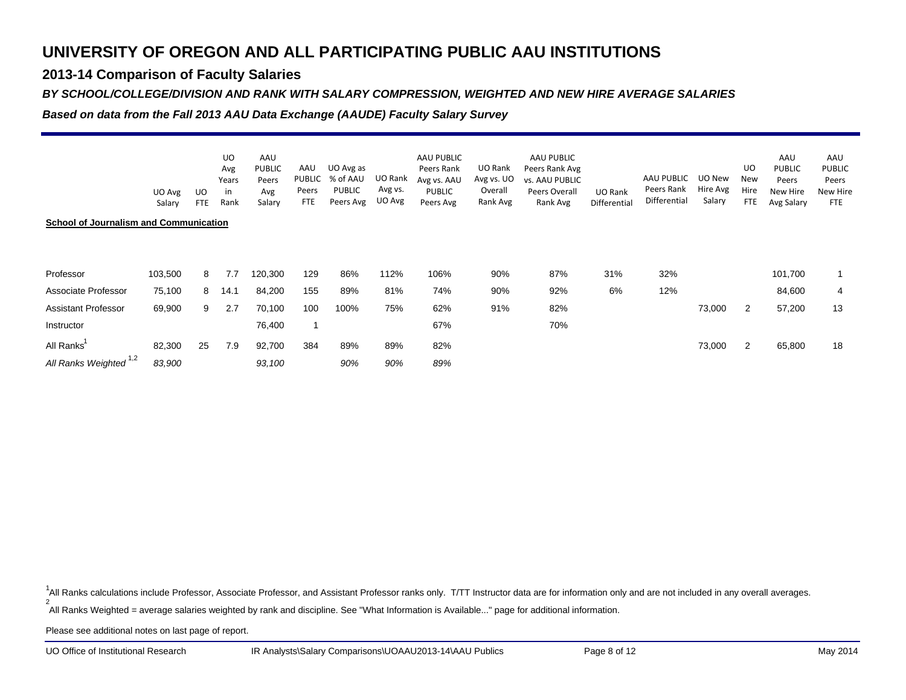### **2013-14 Comparison of Faculty Salaries**

#### *BY SCHOOL/COLLEGE/DIVISION AND RANK WITH SALARY COMPRESSION, WEIGHTED AND NEW HIRE AVERAGE SALARIES*

*Based on data from the Fall 2013 AAU Data Exchange (AAUDE) Faculty Salary Survey*

|                                               | UO Avg<br>Salary | UO.<br><b>FTE</b> | UO<br>Avg<br>Years<br>in<br>Rank | AAU<br><b>PUBLIC</b><br>Peers<br>Avg<br>Salary | AAU<br>PUBLIC<br>Peers<br><b>FTE</b> | UO Avg as<br>% of AAU<br><b>PUBLIC</b><br>Peers Avg | UO Rank<br>Avg vs.<br>UO Avg | AAU PUBLIC<br>Peers Rank<br>Avg vs. AAU<br><b>PUBLIC</b><br>Peers Avg | UO Rank<br>Avg vs. UO<br>Overall<br>Rank Avg | AAU PUBLIC<br>Peers Rank Avg<br>vs. AAU PUBLIC<br>Peers Overall<br>Rank Avg | UO Rank<br>Differential | AAU PUBLIC<br>Peers Rank<br>Differential | UO New<br>Hire Avg<br>Salary | UO<br>New<br>Hire<br><b>FTE</b> | AAU<br><b>PUBLIC</b><br>Peers<br>New Hire<br>Avg Salary | AAU<br><b>PUBLIC</b><br>Peers<br><b>New Hire</b><br><b>FTE</b> |
|-----------------------------------------------|------------------|-------------------|----------------------------------|------------------------------------------------|--------------------------------------|-----------------------------------------------------|------------------------------|-----------------------------------------------------------------------|----------------------------------------------|-----------------------------------------------------------------------------|-------------------------|------------------------------------------|------------------------------|---------------------------------|---------------------------------------------------------|----------------------------------------------------------------|
| <b>School of Journalism and Communication</b> |                  |                   |                                  |                                                |                                      |                                                     |                              |                                                                       |                                              |                                                                             |                         |                                          |                              |                                 |                                                         |                                                                |
|                                               |                  |                   |                                  |                                                |                                      |                                                     |                              |                                                                       |                                              |                                                                             |                         |                                          |                              |                                 |                                                         |                                                                |
| Professor                                     | 103,500          | 8                 | 7.7                              | 120,300                                        | 129                                  | 86%                                                 | 112%                         | 106%                                                                  | 90%                                          | 87%                                                                         | 31%                     | 32%                                      |                              |                                 | 101,700                                                 |                                                                |
| Associate Professor                           | 75,100           | 8                 | 14.1                             | 84,200                                         | 155                                  | 89%                                                 | 81%                          | 74%                                                                   | 90%                                          | 92%                                                                         | 6%                      | 12%                                      |                              |                                 | 84,600                                                  | 4                                                              |
| Assistant Professor                           | 69,900           | 9                 | 2.7                              | 70,100                                         | 100                                  | 100%                                                | 75%                          | 62%                                                                   | 91%                                          | 82%                                                                         |                         |                                          | 73,000                       | $\overline{2}$                  | 57,200                                                  | 13                                                             |
| Instructor                                    |                  |                   |                                  | 76,400                                         |                                      |                                                     |                              | 67%                                                                   |                                              | 70%                                                                         |                         |                                          |                              |                                 |                                                         |                                                                |
| All Ranks                                     | 82,300           | 25                | 7.9                              | 92,700                                         | 384                                  | 89%                                                 | 89%                          | 82%                                                                   |                                              |                                                                             |                         |                                          | 73,000                       | $\overline{2}$                  | 65,800                                                  | 18                                                             |
| All Ranks Weighted 1,2                        | 83,900           |                   |                                  | 93,100                                         |                                      | 90%                                                 | 90%                          | 89%                                                                   |                                              |                                                                             |                         |                                          |                              |                                 |                                                         |                                                                |

2<sup>1</sup>All Ranks calculations include Professor, Associate Professor, and Assistant Professor ranks only. T/TT Instructor data are for information only and are not included in any overall averages.

All Ranks Weighted = average salaries weighted by rank and discipline. See "What Information is Available..." page for additional information.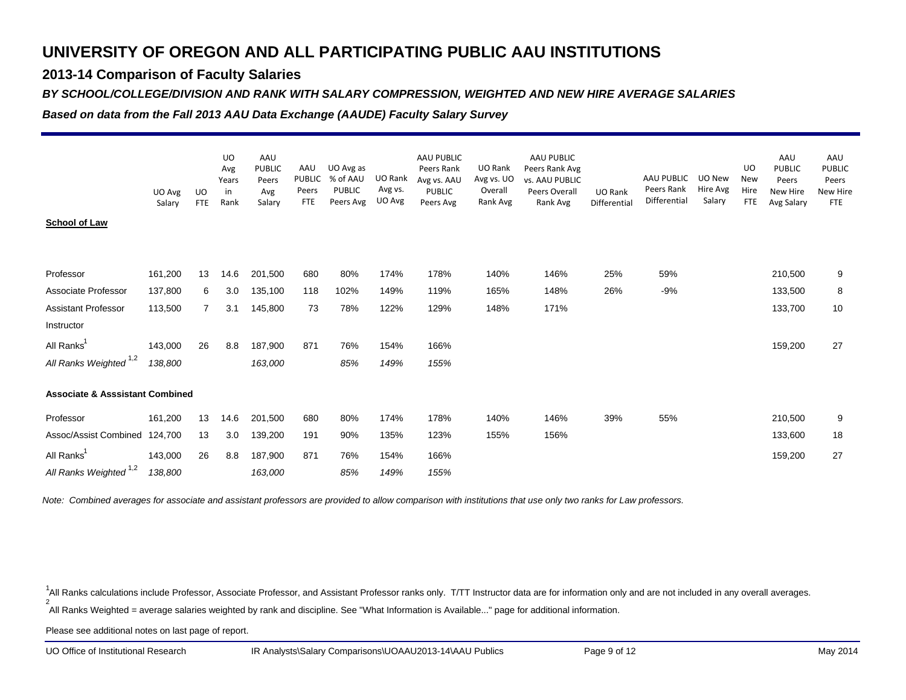### **2013-14 Comparison of Faculty Salaries**

#### *BY SCHOOL/COLLEGE/DIVISION AND RANK WITH SALARY COMPRESSION, WEIGHTED AND NEW HIRE AVERAGE SALARIES*

*Based on data from the Fall 2013 AAU Data Exchange (AAUDE) Faculty Salary Survey*

|                                            |                  |                         | <b>UO</b><br>Avg    | AAU<br><b>PUBLIC</b>   | AAU                                  | UO Avg as                              |                              | AAU PUBLIC<br>Peers Rank                  | UO Rank                           | AAU PUBLIC<br>Peers Rank Avg                |                         |                                          |                              | UO                               | AAU<br><b>PUBLIC</b>            | AAU<br><b>PUBLIC</b>                   |
|--------------------------------------------|------------------|-------------------------|---------------------|------------------------|--------------------------------------|----------------------------------------|------------------------------|-------------------------------------------|-----------------------------------|---------------------------------------------|-------------------------|------------------------------------------|------------------------------|----------------------------------|---------------------------------|----------------------------------------|
|                                            | UO Avg<br>Salary | <b>UO</b><br><b>FTE</b> | Years<br>in<br>Rank | Peers<br>Avg<br>Salary | <b>PUBLIC</b><br>Peers<br><b>FTE</b> | % of AAU<br><b>PUBLIC</b><br>Peers Avg | UO Rank<br>Avg vs.<br>UO Avg | Avg vs. AAU<br><b>PUBLIC</b><br>Peers Avg | Avg vs. UO<br>Overall<br>Rank Avg | vs. AAU PUBLIC<br>Peers Overall<br>Rank Avg | UO Rank<br>Differential | AAU PUBLIC<br>Peers Rank<br>Differential | UO New<br>Hire Avg<br>Salary | <b>New</b><br>Hire<br><b>FTE</b> | Peers<br>New Hire<br>Avg Salary | Peers<br><b>New Hire</b><br><b>FTE</b> |
| <b>School of Law</b>                       |                  |                         |                     |                        |                                      |                                        |                              |                                           |                                   |                                             |                         |                                          |                              |                                  |                                 |                                        |
|                                            |                  |                         |                     |                        |                                      |                                        |                              |                                           |                                   |                                             |                         |                                          |                              |                                  |                                 |                                        |
| Professor                                  | 161,200          | 13                      | 14.6                | 201,500                | 680                                  | 80%                                    | 174%                         | 178%                                      | 140%                              | 146%                                        | 25%                     | 59%                                      |                              |                                  | 210,500                         | 9                                      |
| Associate Professor                        | 137,800          | 6                       | 3.0                 | 135,100                | 118                                  | 102%                                   | 149%                         | 119%                                      | 165%                              | 148%                                        | 26%                     | -9%                                      |                              |                                  | 133,500                         | 8                                      |
| <b>Assistant Professor</b>                 | 113,500          | $\overline{7}$          | 3.1                 | 145,800                | 73                                   | 78%                                    | 122%                         | 129%                                      | 148%                              | 171%                                        |                         |                                          |                              |                                  | 133,700                         | 10                                     |
| Instructor                                 |                  |                         |                     |                        |                                      |                                        |                              |                                           |                                   |                                             |                         |                                          |                              |                                  |                                 |                                        |
| All Ranks                                  | 143,000          | 26                      | 8.8                 | 187,900                | 871                                  | 76%                                    | 154%                         | 166%                                      |                                   |                                             |                         |                                          |                              |                                  | 159,200                         | 27                                     |
| All Ranks Weighted <sup>1,2</sup>          | 138,800          |                         |                     | 163,000                |                                      | 85%                                    | 149%                         | 155%                                      |                                   |                                             |                         |                                          |                              |                                  |                                 |                                        |
| <b>Associate &amp; Asssistant Combined</b> |                  |                         |                     |                        |                                      |                                        |                              |                                           |                                   |                                             |                         |                                          |                              |                                  |                                 |                                        |
| Professor                                  | 161,200          | 13                      | 14.6                | 201,500                | 680                                  | 80%                                    | 174%                         | 178%                                      | 140%                              | 146%                                        | 39%                     | 55%                                      |                              |                                  | 210,500                         | 9                                      |
| Assoc/Assist Combined                      | 124,700          | 13                      | 3.0                 | 139,200                | 191                                  | 90%                                    | 135%                         | 123%                                      | 155%                              | 156%                                        |                         |                                          |                              |                                  | 133,600                         | 18                                     |
| All Ranks <sup>1</sup>                     | 143,000          | 26                      | 8.8                 | 187,900                | 871                                  | 76%                                    | 154%                         | 166%                                      |                                   |                                             |                         |                                          |                              |                                  | 159,200                         | 27                                     |
| All Ranks Weighted 1,2                     | 138,800          |                         |                     | 163,000                |                                      | 85%                                    | 149%                         | 155%                                      |                                   |                                             |                         |                                          |                              |                                  |                                 |                                        |

*Note: Combined averages for associate and assistant professors are provided to allow comparison with institutions that use only two ranks for Law professors.*

2<sup>1</sup>All Ranks calculations include Professor, Associate Professor, and Assistant Professor ranks only. T/TT Instructor data are for information only and are not included in any overall averages.

All Ranks Weighted = average salaries weighted by rank and discipline. See "What Information is Available..." page for additional information.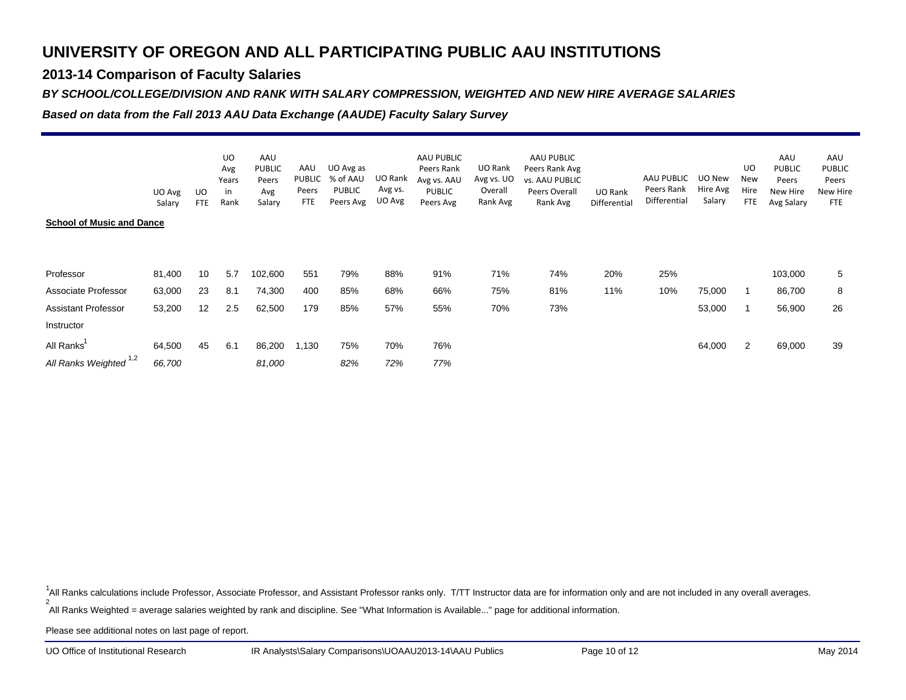### **2013-14 Comparison of Faculty Salaries**

#### *BY SCHOOL/COLLEGE/DIVISION AND RANK WITH SALARY COMPRESSION, WEIGHTED AND NEW HIRE AVERAGE SALARIES*

*Based on data from the Fall 2013 AAU Data Exchange (AAUDE) Faculty Salary Survey*

|                                  | UO Avg | UO                | <b>UO</b><br>Avg<br>Years<br>in | AAU<br><b>PUBLIC</b><br>Peers<br>Avg | AAU<br>PUBLIC<br>Peers<br><b>FTE</b> | UO Avg as<br>% of AAU<br><b>PUBLIC</b><br>Peers Avg | UO Rank<br>Avg vs.<br>UO Avg | AAU PUBLIC<br>Peers Rank<br>Avg vs. AAU<br>PUBLIC | UO Rank<br>Avg vs. UO<br>Overall<br>Rank Avg | AAU PUBLIC<br>Peers Rank Avg<br>vs. AAU PUBLIC<br>Peers Overall | UO Rank      | AAU PUBLIC<br>Peers Rank<br>Differential | UO New<br>Hire Avg<br>Salary | UO<br>New<br>Hire<br><b>FTE</b> | AAU<br><b>PUBLIC</b><br>Peers<br>New Hire | AAU<br><b>PUBLIC</b><br>Peers<br><b>New Hire</b> |
|----------------------------------|--------|-------------------|---------------------------------|--------------------------------------|--------------------------------------|-----------------------------------------------------|------------------------------|---------------------------------------------------|----------------------------------------------|-----------------------------------------------------------------|--------------|------------------------------------------|------------------------------|---------------------------------|-------------------------------------------|--------------------------------------------------|
| <b>School of Music and Dance</b> | Salary | <b>FTE</b>        | Rank                            | Salary                               |                                      |                                                     |                              | Peers Avg                                         |                                              | Rank Avg                                                        | Differential |                                          |                              |                                 | Avg Salary                                | <b>FTE</b>                                       |
| Professor                        | 81,400 | 10                | 5.7                             | 102,600                              | 551                                  | 79%                                                 | 88%                          | 91%                                               | 71%                                          | 74%                                                             | 20%          | 25%                                      |                              |                                 | 103,000                                   | 5                                                |
| Associate Professor              | 63,000 | 23                | 8.1                             | 74,300                               | 400                                  | 85%                                                 | 68%                          | 66%                                               | 75%                                          | 81%                                                             | 11%          | 10%                                      | 75,000                       |                                 | 86,700                                    | 8                                                |
| <b>Assistant Professor</b>       | 53,200 | $12 \overline{ }$ | 2.5                             | 62,500                               | 179                                  | 85%                                                 | 57%                          | 55%                                               | 70%                                          | 73%                                                             |              |                                          | 53,000                       |                                 | 56,900                                    | 26                                               |
| Instructor                       |        |                   |                                 |                                      |                                      |                                                     |                              |                                                   |                                              |                                                                 |              |                                          |                              |                                 |                                           |                                                  |
| All Ranks'                       | 64,500 | 45                | 6.1                             | 86,200                               | 1,130                                | 75%                                                 | 70%                          | 76%                                               |                                              |                                                                 |              |                                          | 64,000                       | 2                               | 69,000                                    | 39                                               |
| All Ranks Weighted 1,2           | 66,700 |                   |                                 | 81,000                               |                                      | 82%                                                 | 72%                          | 77%                                               |                                              |                                                                 |              |                                          |                              |                                 |                                           |                                                  |

2<sup>1</sup>All Ranks calculations include Professor, Associate Professor, and Assistant Professor ranks only. T/TT Instructor data are for information only and are not included in any overall averages.

All Ranks Weighted = average salaries weighted by rank and discipline. See "What Information is Available..." page for additional information.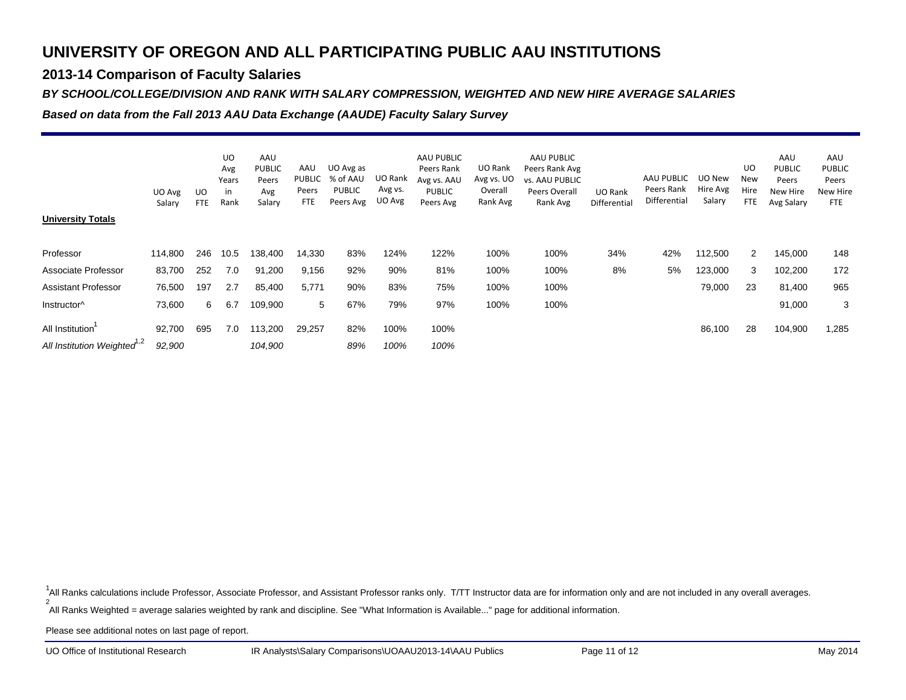### **2013-14 Comparison of Faculty Salaries**

#### *BY SCHOOL/COLLEGE/DIVISION AND RANK WITH SALARY COMPRESSION, WEIGHTED AND NEW HIRE AVERAGE SALARIES*

*Based on data from the Fall 2013 AAU Data Exchange (AAUDE) Faculty Salary Survey*

| <b>University Totals</b>                                   | UO Avg<br>Salary | UO<br><b>FTE</b> | <b>UO</b><br>Avg<br>Years<br>in<br>Rank | AAU<br><b>PUBLIC</b><br>Peers<br>Avg<br>Salary | AAU<br>PUBLIC<br>Peers<br><b>FTE</b> | UO Avg as<br>% of AAU<br><b>PUBLIC</b><br>Peers Avg | UO Rank<br>Avg vs.<br>UO Avg | AAU PUBLIC<br>Peers Rank<br>Avg vs. AAU<br><b>PUBLIC</b><br>Peers Avg | UO Rank<br>Avg vs. UO<br>Overall<br>Rank Avg | AAU PUBLIC<br>Peers Rank Avg<br>vs. AAU PUBLIC<br>Peers Overall<br>Rank Avg | UO Rank<br>Differential | AAU PUBLIC<br>Peers Rank<br>Differential | UO New<br>Hire Avg<br>Salary | UO<br>New<br>Hire<br><b>FTE</b> | AAU<br><b>PUBLIC</b><br>Peers<br>New Hire<br>Avg Salary | AAU<br><b>PUBLIC</b><br>Peers<br>New Hire<br><b>FTE</b> |
|------------------------------------------------------------|------------------|------------------|-----------------------------------------|------------------------------------------------|--------------------------------------|-----------------------------------------------------|------------------------------|-----------------------------------------------------------------------|----------------------------------------------|-----------------------------------------------------------------------------|-------------------------|------------------------------------------|------------------------------|---------------------------------|---------------------------------------------------------|---------------------------------------------------------|
| Professor                                                  | 114,800          | 246              | 10.5                                    | 138,400                                        | 14,330                               | 83%                                                 | 124%                         | 122%                                                                  | 100%                                         | 100%                                                                        | 34%                     | 42%                                      | 112,500                      | $\overline{2}$                  | 145,000                                                 | 148                                                     |
| Associate Professor                                        | 83,700           | 252              | 7.0                                     | 91,200                                         | 9,156                                | 92%                                                 | 90%                          | 81%                                                                   | 100%                                         | 100%                                                                        | 8%                      | 5%                                       | 123,000                      | 3                               | 102,200                                                 | 172                                                     |
| <b>Assistant Professor</b>                                 | 76,500           | 197              | 2.7                                     | 85,400                                         | 5,771                                | 90%                                                 | 83%                          | 75%                                                                   | 100%                                         | 100%                                                                        |                         |                                          | 79,000                       | 23                              | 81,400                                                  | 965                                                     |
| Instructor <sup>^</sup>                                    | 73,600           | 6                | 6.7                                     | 109,900                                        | 5                                    | 67%                                                 | 79%                          | 97%                                                                   | 100%                                         | 100%                                                                        |                         |                                          |                              |                                 | 91,000                                                  | 3                                                       |
| All Institution<br>All Institution Weighted <sup>1,2</sup> | 92,700<br>92,900 | 695              | 7.0                                     | 113,200<br>104,900                             | 29,257                               | 82%<br>89%                                          | 100%<br>100%                 | 100%<br>100%                                                          |                                              |                                                                             |                         |                                          | 86,100                       | 28                              | 104,900                                                 | 1,285                                                   |

2<sup>1</sup>All Ranks calculations include Professor, Associate Professor, and Assistant Professor ranks only. T/TT Instructor data are for information only and are not included in any overall averages.

All Ranks Weighted = average salaries weighted by rank and discipline. See "What Information is Available..." page for additional information.